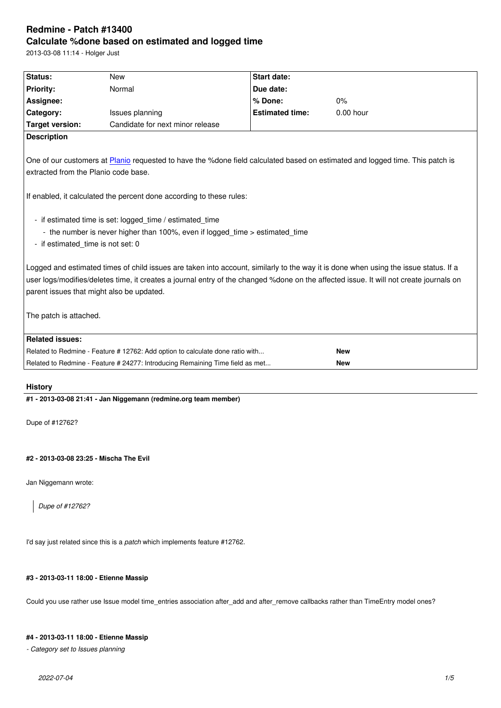#### **Calculate %done based on estimated and logged time**

2013-03-08 11:14 - Holger Just

| Status:                                                                                                                                                                                                                                                                                                                     | <b>New</b>                                                                                                                               | <b>Start date:</b>     |             |  |
|-----------------------------------------------------------------------------------------------------------------------------------------------------------------------------------------------------------------------------------------------------------------------------------------------------------------------------|------------------------------------------------------------------------------------------------------------------------------------------|------------------------|-------------|--|
| <b>Priority:</b>                                                                                                                                                                                                                                                                                                            | Normal                                                                                                                                   | Due date:              |             |  |
| Assignee:                                                                                                                                                                                                                                                                                                                   |                                                                                                                                          | % Done:                | 0%          |  |
| Category:                                                                                                                                                                                                                                                                                                                   | Issues planning                                                                                                                          | <b>Estimated time:</b> | $0.00$ hour |  |
| <b>Target version:</b>                                                                                                                                                                                                                                                                                                      | Candidate for next minor release                                                                                                         |                        |             |  |
| <b>Description</b>                                                                                                                                                                                                                                                                                                          |                                                                                                                                          |                        |             |  |
| extracted from the Planio code base.                                                                                                                                                                                                                                                                                        | One of our customers at Planio requested to have the %done field calculated based on estimated and logged time. This patch is            |                        |             |  |
|                                                                                                                                                                                                                                                                                                                             | If enabled, it calculated the percent done according to these rules:                                                                     |                        |             |  |
| - if estimated_time is not set: 0                                                                                                                                                                                                                                                                                           | - if estimated time is set: logged_time / estimated_time<br>- the number is never higher than 100%, even if logged time > estimated time |                        |             |  |
| Logged and estimated times of child issues are taken into account, similarly to the way it is done when using the issue status. If a<br>user logs/modifies/deletes time, it creates a journal entry of the changed %done on the affected issue. It will not create journals on<br>parent issues that might also be updated. |                                                                                                                                          |                        |             |  |
| The patch is attached.                                                                                                                                                                                                                                                                                                      |                                                                                                                                          |                        |             |  |
| <b>Related issues:</b>                                                                                                                                                                                                                                                                                                      |                                                                                                                                          |                        |             |  |
|                                                                                                                                                                                                                                                                                                                             | Related to Redmine - Feature #12762: Add option to calculate done ratio with                                                             |                        | <b>New</b>  |  |
|                                                                                                                                                                                                                                                                                                                             | Related to Redmine - Feature # 24277: Introducing Remaining Time field as met                                                            |                        | <b>New</b>  |  |

# **History**

**#1 - 2013-03-08 21:41 - Jan Niggemann (redmine.org team member)**

Dupe of #12762?

# **#2 - 2013-03-08 23:25 - Mischa The Evil**

Jan Niggemann wrote:

*Dupe of #12762?*

I'd say just related since this is a *patch* which implements feature #12762.

### **#3 - 2013-03-11 18:00 - Etienne Massip**

Could you use rather use Issue model time\_entries association after\_add and after\_remove callbacks rather than TimeEntry model ones?

# **#4 - 2013-03-11 18:00 - Etienne Massip**

*- Category set to Issues planning*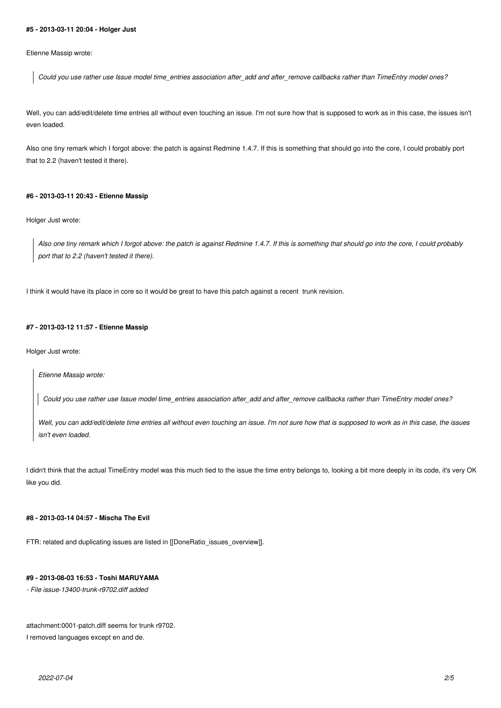#### **#5 - 2013-03-11 20:04 - Holger Just**

Etienne Massip wrote:

*Could you use rather use Issue model time\_entries association after\_add and after\_remove callbacks rather than TimeEntry model ones?*

Well, you can add/edit/delete time entries all without even touching an issue. I'm not sure how that is supposed to work as in this case, the issues isn't even loaded.

Also one tiny remark which I forgot above: the patch is against Redmine 1.4.7. If this is something that should go into the core, I could probably port that to 2.2 (haven't tested it there).

#### **#6 - 2013-03-11 20:43 - Etienne Massip**

Holger Just wrote:

*Also one tiny remark which I forgot above: the patch is against Redmine 1.4.7. If this is something that should go into the core, I could probably port that to 2.2 (haven't tested it there).*

I think it would have its place in core so it would be great to have this patch against a recent trunk revision.

### **#7 - 2013-03-12 11:57 - Etienne Massip**

Holger Just wrote:

*Etienne Massip wrote:*

*Could you use rather use Issue model time\_entries association after\_add and after\_remove callbacks rather than TimeEntry model ones?*

*Well, you can add/edit/delete time entries all without even touching an issue. I'm not sure how that is supposed to work as in this case, the issues isn't even loaded.*

I didn't think that the actual TimeEntry model was this much tied to the issue the time entry belongs to, looking a bit more deeply in its code, it's very OK like you did.

### **#8 - 2013-03-14 04:57 - Mischa The Evil**

FTR: related and duplicating issues are listed in [[DoneRatio\_issues\_overview]].

# **#9 - 2013-08-03 16:53 - Toshi MARUYAMA**

*- File issue-13400-trunk-r9702.diff added*

attachment:0001-patch.diff seems for trunk r9702.

I removed languages except en and de.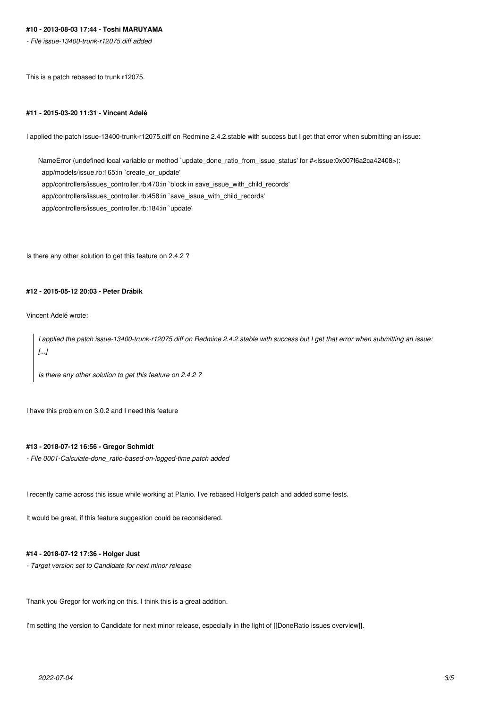# **#10 - 2013-08-03 17:44 - Toshi MARUYAMA**

*- File issue-13400-trunk-r12075.diff added*

This is a patch rebased to trunk r12075.

#### **#11 - 2015-03-20 11:31 - Vincent Adelé**

I applied the patch issue-13400-trunk-r12075.diff on Redmine 2.4.2.stable with success but I get that error when submitting an issue:

NameError (undefined local variable or method `update\_done\_ratio\_from\_issue\_status' for #<Issue:0x007f6a2ca42408>): app/models/issue.rb:165:in `create\_or\_update' app/controllers/issues\_controller.rb:470:in `block in save\_issue\_with\_child\_records' app/controllers/issues\_controller.rb:458:in `save\_issue\_with\_child\_records' app/controllers/issues\_controller.rb:184:in `update'

Is there any other solution to get this feature on 2.4.2 ?

# **#12 - 2015-05-12 20:03 - Peter Drábik**

Vincent Adelé wrote:

*I applied the patch issue-13400-trunk-r12075.diff on Redmine 2.4.2.stable with success but I get that error when submitting an issue: [...]*

*Is there any other solution to get this feature on 2.4.2 ?*

I have this problem on 3.0.2 and I need this feature

# **#13 - 2018-07-12 16:56 - Gregor Schmidt**

*- File 0001-Calculate-done\_ratio-based-on-logged-time.patch added*

I recently came across this issue while working at Planio. I've rebased Holger's patch and added some tests.

It would be great, if this feature suggestion could be reconsidered.

#### **#14 - 2018-07-12 17:36 - Holger Just**

*- Target version set to Candidate for next minor release*

Thank you Gregor for working on this. I think this is a great addition.

I'm setting the version to Candidate for next minor release, especially in the light of [[DoneRatio issues overview]].